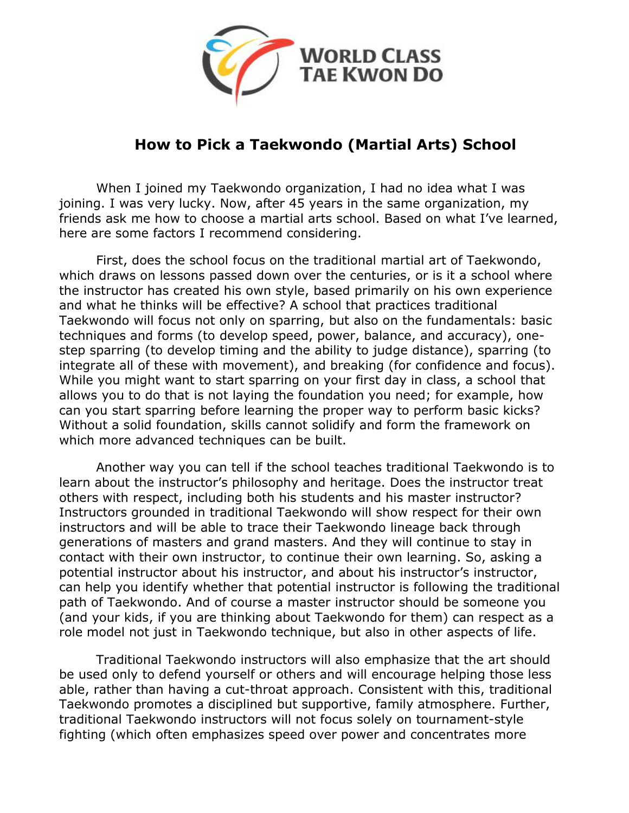

## **How to Pick a Taekwondo (Martial Arts) School**

When I joined my Taekwondo organization, I had no idea what I was joining. I was very lucky. Now, after 45 years in the same organization, my friends ask me how to choose a martial arts school. Based on what I've learned, here are some factors I recommend considering.

First, does the school focus on the traditional martial art of Taekwondo, which draws on lessons passed down over the centuries, or is it a school where the instructor has created his own style, based primarily on his own experience and what he thinks will be effective? A school that practices traditional Taekwondo will focus not only on sparring, but also on the fundamentals: basic techniques and forms (to develop speed, power, balance, and accuracy), one step sparring (to develop timing and the ability to judge distance), sparring (to integrate all of these with movement), and breaking (for confidence and focus). While you might want to start sparring on your first day in class, a school that allows you to do that is not laying the foundation you need; for example, how can you start sparring before learning the proper way to perform basic kicks? Without a solid foundation, skills cannot solidify and form the framework on which more advanced techniques can be built.

Another way you can tell if the school teaches traditional Taekwondo is to learn about the instructor's philosophy and heritage. Does the instructor treat others with respect, including both his students and his master instructor? Instructors grounded in traditional Taekwondo will show respect for their own instructors and will be able to trace their Taekwondo lineage back through generations of masters and grand masters. And they will continue to stay in contact with their own instructor, to continue their own learning. So, asking a potential instructor about his instructor, and about his instructor's instructor, can help you identify whether that potential instructor is following the traditional path of Taekwondo. And of course a master instructor should be someone you (and your kids, if you are thinking about Taekwondo for them) can respect as a role model not just in Taekwondo technique, but also in other aspects of life.

Traditional Taekwondo instructors will also emphasize that the art should be used only to defend yourself or others and will encourage helping those less able, rather than having a cut-throat approach. Consistent with this, traditional Taekwondo promotes a disciplined but supportive, family atmosphere. Further, traditional Taekwondo instructors will not focus solely on tournament-style fighting (which often emphasizes speed over power and concentrates more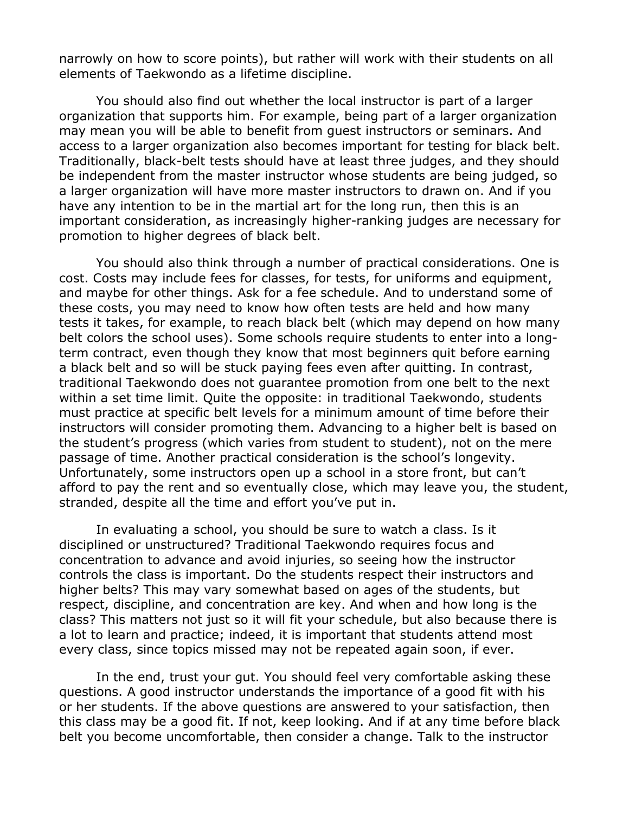narrowly on how to score points), but rather will work with their students on all elements of Taekwondo as a lifetime discipline.

You should also find out whether the local instructor is part of a larger organization that supports him. For example, being part of a larger organization may mean you will be able to benefit from guest instructors or seminars. And access to a larger organization also becomes important for testing for black belt. Traditionally, black-belt tests should have at least three judges, and they should be independent from the master instructor whose students are being judged, so a larger organization will have more master instructors to drawn on. And if you have any intention to be in the martial art for the long run, then this is an important consideration, as increasingly higher-ranking judges are necessary for promotion to higher degrees of black belt.

You should also think through a number of practical considerations. One is cost. Costs may include fees for classes, for tests, for uniforms and equipment, and maybe for other things. Ask for a fee schedule. And to understand some of these costs, you may need to know how often tests are held and how many tests it takes, for example, to reach black belt (which may depend on how many belt colors the school uses). Some schools require students to enter into a longterm contract, even though they know that most beginners quit before earning a black belt and so will be stuck paying fees even after quitting. In contrast, traditional Taekwondo does not guarantee promotion from one belt to the next within a set time limit. Quite the opposite: in traditional Taekwondo, students must practice at specific belt levels for a minimum amount of time before their instructors will consider promoting them. Advancing to a higher belt is based on the student's progress (which varies from student to student), not on the mere passage of time. Another practical consideration is the school's longevity. Unfortunately, some instructors open up a school in a store front, but can't afford to pay the rent and so eventually close, which may leave you, the student, stranded, despite all the time and effort you've put in.

In evaluating a school, you should be sure to watch a class. Is it disciplined or unstructured? Traditional Taekwondo requires focus and concentration to advance and avoid injuries, so seeing how the instructor controls the class is important. Do the students respect their instructors and higher belts? This may vary somewhat based on ages of the students, but respect, discipline, and concentration are key. And when and how long is the class? This matters not just so it will fit your schedule, but also because there is a lot to learn and practice; indeed, it is important that students attend most every class, since topics missed may not be repeated again soon, if ever.

In the end, trust your gut. You should feel very comfortable asking these questions. A good instructor understands the importance of a good fit with his or her students. If the above questions are answered to your satisfaction, then this class may be a good fit. If not, keep looking. And if at any time before black belt you become uncomfortable, then consider a change. Talk to the instructor